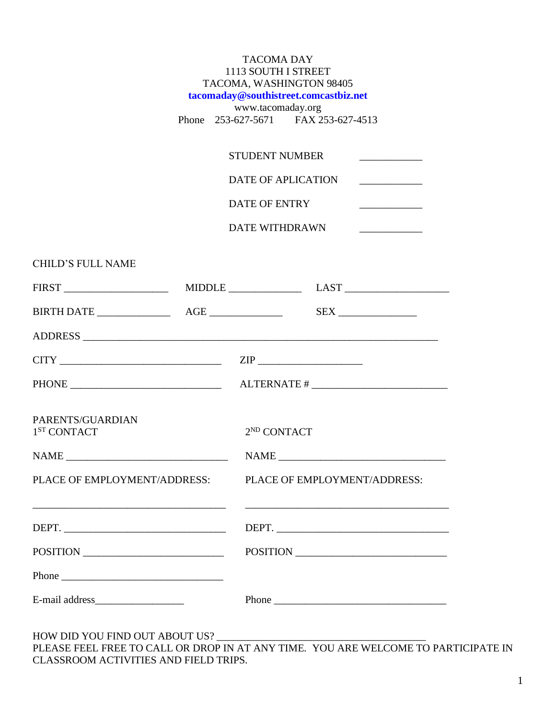|                                             | <b>TACOMA DAY</b><br>1113 SOUTH I STREET<br>TACOMA, WASHINGTON 98405<br>tacomaday@southistreet.comcastbiz.net<br>www.tacomaday.org                                          |                                                                                                                                                                                                                                                                                                                                                                                                                                                                                    |  |  |  |
|---------------------------------------------|-----------------------------------------------------------------------------------------------------------------------------------------------------------------------------|------------------------------------------------------------------------------------------------------------------------------------------------------------------------------------------------------------------------------------------------------------------------------------------------------------------------------------------------------------------------------------------------------------------------------------------------------------------------------------|--|--|--|
|                                             |                                                                                                                                                                             | Phone 253-627-5671 FAX 253-627-4513                                                                                                                                                                                                                                                                                                                                                                                                                                                |  |  |  |
|                                             | <b>STUDENT NUMBER</b><br><u> Albanya di Barat di Barat di Barat di Barat di Barat di Barat di Barat di Barat di Barat di Barat di Barat di</u><br><b>DATE OF APLICATION</b> |                                                                                                                                                                                                                                                                                                                                                                                                                                                                                    |  |  |  |
|                                             |                                                                                                                                                                             |                                                                                                                                                                                                                                                                                                                                                                                                                                                                                    |  |  |  |
|                                             | DATE OF ENTRY<br><u> 1989 - Johann Barbara, martin a</u>                                                                                                                    |                                                                                                                                                                                                                                                                                                                                                                                                                                                                                    |  |  |  |
|                                             |                                                                                                                                                                             | DATE WITHDRAWN<br><u> 1989 - Andrea Station Books, amerikansk politiker (</u>                                                                                                                                                                                                                                                                                                                                                                                                      |  |  |  |
| <b>CHILD'S FULL NAME</b>                    |                                                                                                                                                                             |                                                                                                                                                                                                                                                                                                                                                                                                                                                                                    |  |  |  |
|                                             |                                                                                                                                                                             |                                                                                                                                                                                                                                                                                                                                                                                                                                                                                    |  |  |  |
|                                             |                                                                                                                                                                             |                                                                                                                                                                                                                                                                                                                                                                                                                                                                                    |  |  |  |
|                                             |                                                                                                                                                                             |                                                                                                                                                                                                                                                                                                                                                                                                                                                                                    |  |  |  |
|                                             |                                                                                                                                                                             |                                                                                                                                                                                                                                                                                                                                                                                                                                                                                    |  |  |  |
|                                             |                                                                                                                                                                             |                                                                                                                                                                                                                                                                                                                                                                                                                                                                                    |  |  |  |
| PARENTS/GUARDIAN<br>1 <sup>ST</sup> CONTACT |                                                                                                                                                                             | 2 <sup>ND</sup> CONTACT                                                                                                                                                                                                                                                                                                                                                                                                                                                            |  |  |  |
|                                             |                                                                                                                                                                             | $\begin{tabular}{ c c c } \hline \multicolumn{3}{ c }{\text{NAME}} & \multicolumn{3}{ c }{\text{NAME}}\\ \hline \multicolumn{3}{ c }{\text{NAME}} & \multicolumn{3}{ c }{\text{NAME}}\\ \hline \multicolumn{3}{ c }{\text{NAME}} & \multicolumn{3}{ c }{\text{NAME}}\\ \hline \multicolumn{3}{ c }{\text{NAME}} & \multicolumn{3}{ c }{\text{NAME}}\\ \hline \multicolumn{3}{ c }{\text{NAME}} & \multicolumn{3}{ c }{\text{NAME}}\\ \hline \multicolumn{3}{ c }{\text{NAME}} & \$ |  |  |  |
| PLACE OF EMPLOYMENT/ADDRESS:                |                                                                                                                                                                             | PLACE OF EMPLOYMENT/ADDRESS:                                                                                                                                                                                                                                                                                                                                                                                                                                                       |  |  |  |
| DEPT.                                       |                                                                                                                                                                             | DEPT.                                                                                                                                                                                                                                                                                                                                                                                                                                                                              |  |  |  |
| POSITION                                    |                                                                                                                                                                             | POSITION                                                                                                                                                                                                                                                                                                                                                                                                                                                                           |  |  |  |
|                                             |                                                                                                                                                                             |                                                                                                                                                                                                                                                                                                                                                                                                                                                                                    |  |  |  |
|                                             |                                                                                                                                                                             |                                                                                                                                                                                                                                                                                                                                                                                                                                                                                    |  |  |  |

HOW DID YOU FIND OUT ABOUT US? \_\_\_\_\_\_\_\_\_\_\_\_\_\_\_\_\_\_\_\_\_\_\_\_\_\_\_\_\_\_\_\_\_\_\_\_\_\_\_\_

PLEASE FEEL FREE TO CALL OR DROP IN AT ANY TIME. YOU ARE WELCOME TO PARTICIPATE IN CLASSROOM ACTIVITIES AND FIELD TRIPS.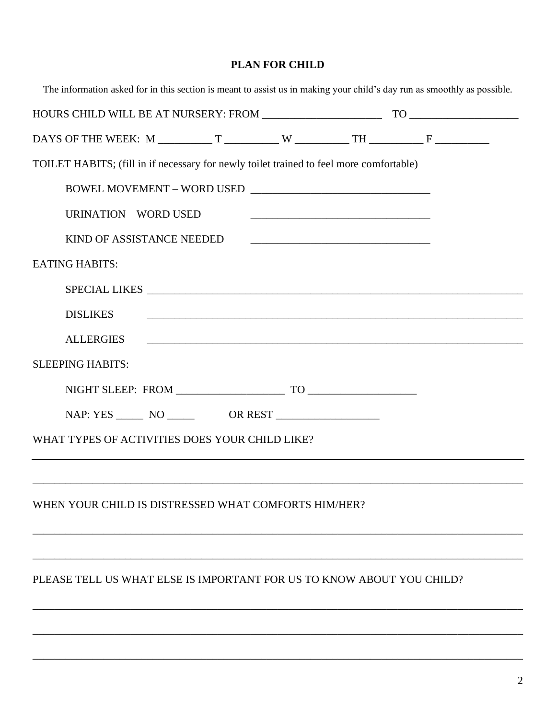# **PLAN FOR CHILD**

| The information asked for in this section is meant to assist us in making your child's day run as smoothly as possible.                                                                                                                                                                                                                                                                                                                                                                                                             |  |  |  |
|-------------------------------------------------------------------------------------------------------------------------------------------------------------------------------------------------------------------------------------------------------------------------------------------------------------------------------------------------------------------------------------------------------------------------------------------------------------------------------------------------------------------------------------|--|--|--|
|                                                                                                                                                                                                                                                                                                                                                                                                                                                                                                                                     |  |  |  |
|                                                                                                                                                                                                                                                                                                                                                                                                                                                                                                                                     |  |  |  |
| TOILET HABITS; (fill in if necessary for newly toilet trained to feel more comfortable)                                                                                                                                                                                                                                                                                                                                                                                                                                             |  |  |  |
| $\textbf{BOWEL MOVEMENT} - \textbf{WORD USED} \underbrace{\hspace{2cm} \textcolor{red}{\textbf{1}} \textcolor{red}{\textbf{1}} \textcolor{red}{\textbf{2}} \textcolor{red}{\textbf{2}} \textcolor{red}{\textbf{2}} \textcolor{red}{\textbf{3}} \textcolor{red}{\textbf{3}} \textcolor{red}{\textbf{4}} \textcolor{red}{\textbf{5}} \textcolor{red}{\textbf{5}} \textcolor{red}{\textbf{4}} \textcolor{red}{\textbf{5}} \textcolor{red}{\textbf{6}} \textcolor{red}{\textbf{6}} \textcolor{red}{\textbf{7}} \textcolor{red}{\textbf$ |  |  |  |
| <b>URINATION - WORD USED</b><br><u> 1989 - Johann Barbara, martin da basar da basar da basar da basar da basar da basar da basar da basar da basa</u>                                                                                                                                                                                                                                                                                                                                                                               |  |  |  |
| KIND OF ASSISTANCE NEEDED                                                                                                                                                                                                                                                                                                                                                                                                                                                                                                           |  |  |  |
| <b>EATING HABITS:</b>                                                                                                                                                                                                                                                                                                                                                                                                                                                                                                               |  |  |  |
| SPECIAL LIKES CONTROLLER CONTROLLER SERVICES AND LOCAL CONTROLLER CONTROLLER CONTROLLER CONTROLLER CONTROLLER                                                                                                                                                                                                                                                                                                                                                                                                                       |  |  |  |
| <b>DISLIKES</b>                                                                                                                                                                                                                                                                                                                                                                                                                                                                                                                     |  |  |  |
| <b>ALLERGIES</b><br><u> 2000 - 2000 - 2000 - 2000 - 2000 - 2000 - 2000 - 2000 - 2000 - 2000 - 2000 - 2000 - 2000 - 2000 - 2000 - 200</u>                                                                                                                                                                                                                                                                                                                                                                                            |  |  |  |
| <b>SLEEPING HABITS:</b>                                                                                                                                                                                                                                                                                                                                                                                                                                                                                                             |  |  |  |
|                                                                                                                                                                                                                                                                                                                                                                                                                                                                                                                                     |  |  |  |
|                                                                                                                                                                                                                                                                                                                                                                                                                                                                                                                                     |  |  |  |
| WHAT TYPES OF ACTIVITIES DOES YOUR CHILD LIKE?                                                                                                                                                                                                                                                                                                                                                                                                                                                                                      |  |  |  |
|                                                                                                                                                                                                                                                                                                                                                                                                                                                                                                                                     |  |  |  |
|                                                                                                                                                                                                                                                                                                                                                                                                                                                                                                                                     |  |  |  |
| WHEN YOUR CHILD IS DISTRESSED WHAT COMFORTS HIM/HER?                                                                                                                                                                                                                                                                                                                                                                                                                                                                                |  |  |  |
|                                                                                                                                                                                                                                                                                                                                                                                                                                                                                                                                     |  |  |  |
|                                                                                                                                                                                                                                                                                                                                                                                                                                                                                                                                     |  |  |  |
| PLEASE TELL US WHAT ELSE IS IMPORTANT FOR US TO KNOW ABOUT YOU CHILD?                                                                                                                                                                                                                                                                                                                                                                                                                                                               |  |  |  |
|                                                                                                                                                                                                                                                                                                                                                                                                                                                                                                                                     |  |  |  |
|                                                                                                                                                                                                                                                                                                                                                                                                                                                                                                                                     |  |  |  |

\_\_\_\_\_\_\_\_\_\_\_\_\_\_\_\_\_\_\_\_\_\_\_\_\_\_\_\_\_\_\_\_\_\_\_\_\_\_\_\_\_\_\_\_\_\_\_\_\_\_\_\_\_\_\_\_\_\_\_\_\_\_\_\_\_\_\_\_\_\_\_\_\_\_\_\_\_\_\_\_\_\_\_\_\_\_\_\_\_\_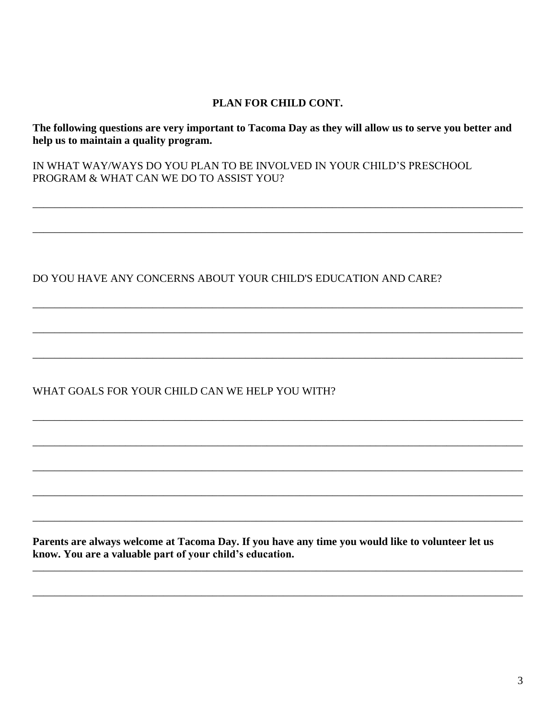#### PLAN FOR CHILD CONT.

The following questions are very important to Tacoma Day as they will allow us to serve you better and help us to maintain a quality program.

IN WHAT WAY/WAYS DO YOU PLAN TO BE INVOLVED IN YOUR CHILD'S PRESCHOOL PROGRAM & WHAT CAN WE DO TO ASSIST YOU?

### DO YOU HAVE ANY CONCERNS ABOUT YOUR CHILD'S EDUCATION AND CARE?

## WHAT GOALS FOR YOUR CHILD CAN WE HELP YOU WITH?

Parents are always welcome at Tacoma Day. If you have any time you would like to volunteer let us know. You are a valuable part of your child's education.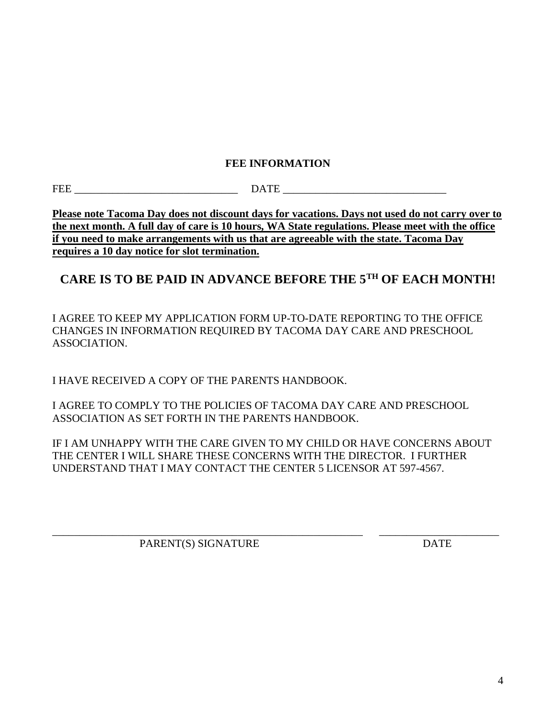## **FEE INFORMATION**

FEE DATE

**Please note Tacoma Day does not discount days for vacations. Days not used do not carry over to the next month. A full day of care is 10 hours, WA State regulations. Please meet with the office if you need to make arrangements with us that are agreeable with the state. Tacoma Day requires a 10 day notice for slot termination.**

# **CARE IS TO BE PAID IN ADVANCE BEFORE THE 5TH OF EACH MONTH!**

I AGREE TO KEEP MY APPLICATION FORM UP-TO-DATE REPORTING TO THE OFFICE CHANGES IN INFORMATION REQUIRED BY TACOMA DAY CARE AND PRESCHOOL ASSOCIATION.

I HAVE RECEIVED A COPY OF THE PARENTS HANDBOOK.

I AGREE TO COMPLY TO THE POLICIES OF TACOMA DAY CARE AND PRESCHOOL ASSOCIATION AS SET FORTH IN THE PARENTS HANDBOOK.

IF I AM UNHAPPY WITH THE CARE GIVEN TO MY CHILD OR HAVE CONCERNS ABOUT THE CENTER I WILL SHARE THESE CONCERNS WITH THE DIRECTOR. I FURTHER UNDERSTAND THAT I MAY CONTACT THE CENTER 5 LICENSOR AT 597-4567.

\_\_\_\_\_\_\_\_\_\_\_\_\_\_\_\_\_\_\_\_\_\_\_\_\_\_\_\_\_\_\_\_\_\_\_\_\_\_\_\_\_\_\_\_\_\_\_\_\_\_\_\_\_\_\_\_\_ \_\_\_\_\_\_\_\_\_\_\_\_\_\_\_\_\_\_\_\_\_\_ PARENT(S) SIGNATURE DATE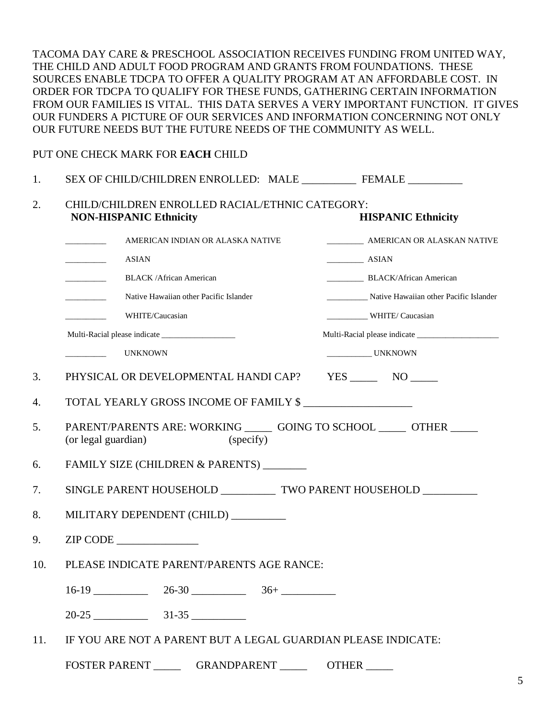TACOMA DAY CARE & PRESCHOOL ASSOCIATION RECEIVES FUNDING FROM UNITED WAY, THE CHILD AND ADULT FOOD PROGRAM AND GRANTS FROM FOUNDATIONS. THESE SOURCES ENABLE TDCPA TO OFFER A QUALITY PROGRAM AT AN AFFORDABLE COST. IN ORDER FOR TDCPA TO QUALIFY FOR THESE FUNDS, GATHERING CERTAIN INFORMATION FROM OUR FAMILIES IS VITAL. THIS DATA SERVES A VERY IMPORTANT FUNCTION. IT GIVES OUR FUNDERS A PICTURE OF OUR SERVICES AND INFORMATION CONCERNING NOT ONLY OUR FUTURE NEEDS BUT THE FUTURE NEEDS OF THE COMMUNITY AS WELL.

#### PUT ONE CHECK MARK FOR **EACH** CHILD

| 1.  | SEX OF CHILD/CHILDREN ENROLLED: MALE ______________ FEMALE ___________                                   |                                        |  |  |
|-----|----------------------------------------------------------------------------------------------------------|----------------------------------------|--|--|
| 2.  | CHILD/CHILDREN ENROLLED RACIAL/ETHNIC CATEGORY:<br><b>NON-HISPANIC Ethnicity</b>                         | <b>HISPANIC Ethnicity</b>              |  |  |
|     | AMERICAN INDIAN OR ALASKA NATIVE                                                                         |                                        |  |  |
|     | <b>ASIAN</b><br>$\overline{\phantom{a}}$                                                                 | $\frac{1}{2}$ ASIAN                    |  |  |
|     | <b>BLACK/African American</b><br><u> Alexandria de la c</u>                                              | BLACK/African American                 |  |  |
|     | Native Hawaiian other Pacific Islander<br><u>and the state of the state</u>                              | Native Hawaiian other Pacific Islander |  |  |
|     | WHITE/Caucasian<br><u> 1999 - John Stone</u>                                                             | WHITE/Caucasian                        |  |  |
|     |                                                                                                          |                                        |  |  |
|     | UNKNOWN                                                                                                  | UNKNOWN                                |  |  |
| 3.  | PHYSICAL OR DEVELOPMENTAL HANDI CAP?                                                                     | $YES$ NO NO                            |  |  |
| 4.  | TOTAL YEARLY GROSS INCOME OF FAMILY \$                                                                   |                                        |  |  |
| 5.  | PARENT/PARENTS ARE: WORKING ______ GOING TO SCHOOL _____ OTHER _____<br>(or legal guardian)<br>(specify) |                                        |  |  |
| 6.  | FAMILY SIZE (CHILDREN & PARENTS) ________                                                                |                                        |  |  |
| 7.  | SINGLE PARENT HOUSEHOLD _____________ TWO PARENT HOUSEHOLD __________                                    |                                        |  |  |
| 8.  | MILITARY DEPENDENT (CHILD) _________                                                                     |                                        |  |  |
| 9.  | ZIP CODE                                                                                                 |                                        |  |  |
| 10. | PLEASE INDICATE PARENT/PARENTS AGE RANCE:                                                                |                                        |  |  |
|     | $16-19$ 26-30 36+                                                                                        |                                        |  |  |
|     |                                                                                                          |                                        |  |  |
| 11. | IF YOU ARE NOT A PARENT BUT A LEGAL GUARDIAN PLEASE INDICATE:                                            |                                        |  |  |

FOSTER PARENT \_\_\_\_\_\_\_\_ GRANDPARENT \_\_\_\_\_\_\_\_ OTHER \_\_\_\_\_\_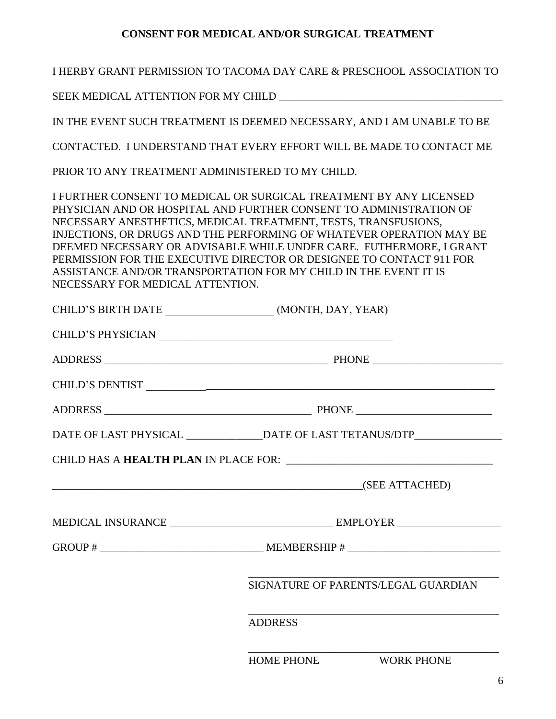# **CONSENT FOR MEDICAL AND/OR SURGICAL TREATMENT**

| I HERBY GRANT PERMISSION TO TACOMA DAY CARE & PRESCHOOL ASSOCIATION TO |                                                                                                                                                                                                                                                                                                                                                                                                                                                                                                       |  |  |  |  |
|------------------------------------------------------------------------|-------------------------------------------------------------------------------------------------------------------------------------------------------------------------------------------------------------------------------------------------------------------------------------------------------------------------------------------------------------------------------------------------------------------------------------------------------------------------------------------------------|--|--|--|--|
|                                                                        |                                                                                                                                                                                                                                                                                                                                                                                                                                                                                                       |  |  |  |  |
|                                                                        | IN THE EVENT SUCH TREATMENT IS DEEMED NECESSARY, AND I AM UNABLE TO BE                                                                                                                                                                                                                                                                                                                                                                                                                                |  |  |  |  |
| CONTACTED. I UNDERSTAND THAT EVERY EFFORT WILL BE MADE TO CONTACT ME   |                                                                                                                                                                                                                                                                                                                                                                                                                                                                                                       |  |  |  |  |
| PRIOR TO ANY TREATMENT ADMINISTERED TO MY CHILD.                       |                                                                                                                                                                                                                                                                                                                                                                                                                                                                                                       |  |  |  |  |
| NECESSARY FOR MEDICAL ATTENTION.                                       | I FURTHER CONSENT TO MEDICAL OR SURGICAL TREATMENT BY ANY LICENSED<br>PHYSICIAN AND OR HOSPITAL AND FURTHER CONSENT TO ADMINISTRATION OF<br>NECESSARY ANESTHETICS, MEDICAL TREATMENT, TESTS, TRANSFUSIONS,<br>INJECTIONS, OR DRUGS AND THE PERFORMING OF WHATEVER OPERATION MAY BE<br>DEEMED NECESSARY OR ADVISABLE WHILE UNDER CARE. FUTHERMORE, I GRANT<br>PERMISSION FOR THE EXECUTIVE DIRECTOR OR DESIGNEE TO CONTACT 911 FOR<br>ASSISTANCE AND/OR TRANSPORTATION FOR MY CHILD IN THE EVENT IT IS |  |  |  |  |
|                                                                        | CHILD'S BIRTH DATE ____________________(MONTH, DAY, YEAR)                                                                                                                                                                                                                                                                                                                                                                                                                                             |  |  |  |  |
|                                                                        |                                                                                                                                                                                                                                                                                                                                                                                                                                                                                                       |  |  |  |  |
|                                                                        |                                                                                                                                                                                                                                                                                                                                                                                                                                                                                                       |  |  |  |  |
|                                                                        |                                                                                                                                                                                                                                                                                                                                                                                                                                                                                                       |  |  |  |  |
|                                                                        |                                                                                                                                                                                                                                                                                                                                                                                                                                                                                                       |  |  |  |  |
|                                                                        | DATE OF LAST PHYSICAL _______________DATE OF LAST TETANUS/DTP___________________                                                                                                                                                                                                                                                                                                                                                                                                                      |  |  |  |  |
| <b>CHILD HAS A HEALTH PLAN IN PLACE FOR:</b>                           |                                                                                                                                                                                                                                                                                                                                                                                                                                                                                                       |  |  |  |  |
|                                                                        | <u>(SEE ATTACHED)</u>                                                                                                                                                                                                                                                                                                                                                                                                                                                                                 |  |  |  |  |
|                                                                        |                                                                                                                                                                                                                                                                                                                                                                                                                                                                                                       |  |  |  |  |
|                                                                        |                                                                                                                                                                                                                                                                                                                                                                                                                                                                                                       |  |  |  |  |
|                                                                        | SIGNATURE OF PARENTS/LEGAL GUARDIAN                                                                                                                                                                                                                                                                                                                                                                                                                                                                   |  |  |  |  |
|                                                                        | <b>ADDRESS</b>                                                                                                                                                                                                                                                                                                                                                                                                                                                                                        |  |  |  |  |
|                                                                        | HOME PHONE WORK PHONE                                                                                                                                                                                                                                                                                                                                                                                                                                                                                 |  |  |  |  |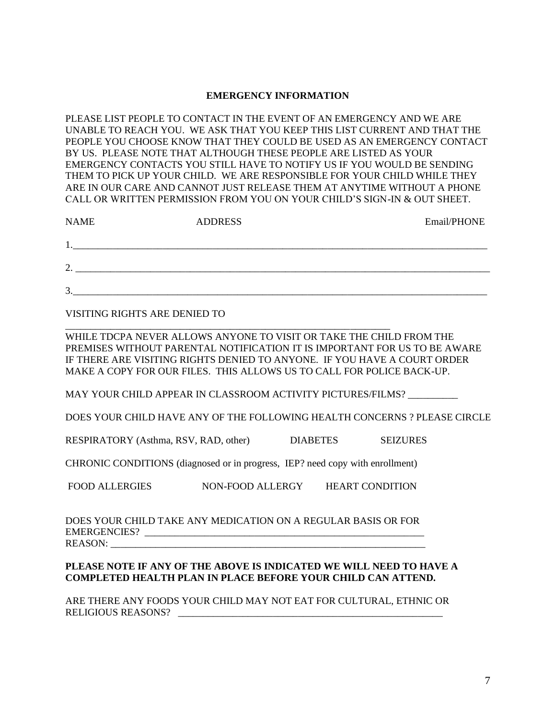#### **EMERGENCY INFORMATION**

PLEASE LIST PEOPLE TO CONTACT IN THE EVENT OF AN EMERGENCY AND WE ARE UNABLE TO REACH YOU. WE ASK THAT YOU KEEP THIS LIST CURRENT AND THAT THE PEOPLE YOU CHOOSE KNOW THAT THEY COULD BE USED AS AN EMERGENCY CONTACT BY US. PLEASE NOTE THAT ALTHOUGH THESE PEOPLE ARE LISTED AS YOUR EMERGENCY CONTACTS YOU STILL HAVE TO NOTIFY US IF YOU WOULD BE SENDING THEM TO PICK UP YOUR CHILD. WE ARE RESPONSIBLE FOR YOUR CHILD WHILE THEY ARE IN OUR CARE AND CANNOT JUST RELEASE THEM AT ANYTIME WITHOUT A PHONE CALL OR WRITTEN PERMISSION FROM YOU ON YOUR CHILD'S SIGN-IN & OUT SHEET.

| <b>NAME</b> | <b>ADDRESS</b> | Email/PHONE |
|-------------|----------------|-------------|
|             |                |             |
| ↑<br>∼      |                |             |
| 3           |                |             |

VISITING RIGHTS ARE DENIED TO

WHILE TDCPA NEVER ALLOWS ANYONE TO VISIT OR TAKE THE CHILD FROM THE PREMISES WITHOUT PARENTAL NOTIFICATION IT IS IMPORTANT FOR US TO BE AWARE IF THERE ARE VISITING RIGHTS DENIED TO ANYONE. IF YOU HAVE A COURT ORDER MAKE A COPY FOR OUR FILES. THIS ALLOWS US TO CALL FOR POLICE BACK-UP.

MAY YOUR CHILD APPEAR IN CLASSROOM ACTIVITY PICTURES/FILMS?

DOES YOUR CHILD HAVE ANY OF THE FOLLOWING HEALTH CONCERNS ? PLEASE CIRCLE

RESPIRATORY (Asthma, RSV, RAD, other) DIABETES SEIZURES

CHRONIC CONDITIONS (diagnosed or in progress, IEP? need copy with enrollment)

\_\_\_\_\_\_\_\_\_\_\_\_\_\_\_\_\_\_\_\_\_\_\_\_\_\_\_\_\_\_\_\_\_\_\_\_\_\_\_\_\_\_\_\_\_\_\_\_\_\_\_\_\_\_\_\_\_\_\_\_\_\_\_\_\_

FOOD ALLERGIES NON-FOOD ALLERGY HEART CONDITION

DOES YOUR CHILD TAKE ANY MEDICATION ON A REGULAR BASIS OR FOR EMERGENCIES? \_\_\_\_\_\_\_\_\_\_\_\_\_\_\_\_\_\_\_\_\_\_\_\_\_\_\_\_\_\_\_\_\_\_\_\_\_\_\_\_\_\_\_\_\_\_\_\_\_\_\_\_\_\_\_\_ REASON: \_\_\_\_\_\_\_\_\_\_\_\_\_\_\_\_\_\_\_\_\_\_\_\_\_\_\_\_\_\_\_\_\_\_\_\_\_\_\_\_\_\_\_\_\_\_\_\_\_\_\_\_\_\_\_\_\_\_\_\_\_\_\_

#### **PLEASE NOTE IF ANY OF THE ABOVE IS INDICATED WE WILL NEED TO HAVE A COMPLETED HEALTH PLAN IN PLACE BEFORE YOUR CHILD CAN ATTEND.**

ARE THERE ANY FOODS YOUR CHILD MAY NOT EAT FOR CULTURAL, ETHNIC OR RELIGIOUS REASONS? \_\_\_\_\_\_\_\_\_\_\_\_\_\_\_\_\_\_\_\_\_\_\_\_\_\_\_\_\_\_\_\_\_\_\_\_\_\_\_\_\_\_\_\_\_\_\_\_\_\_\_\_\_